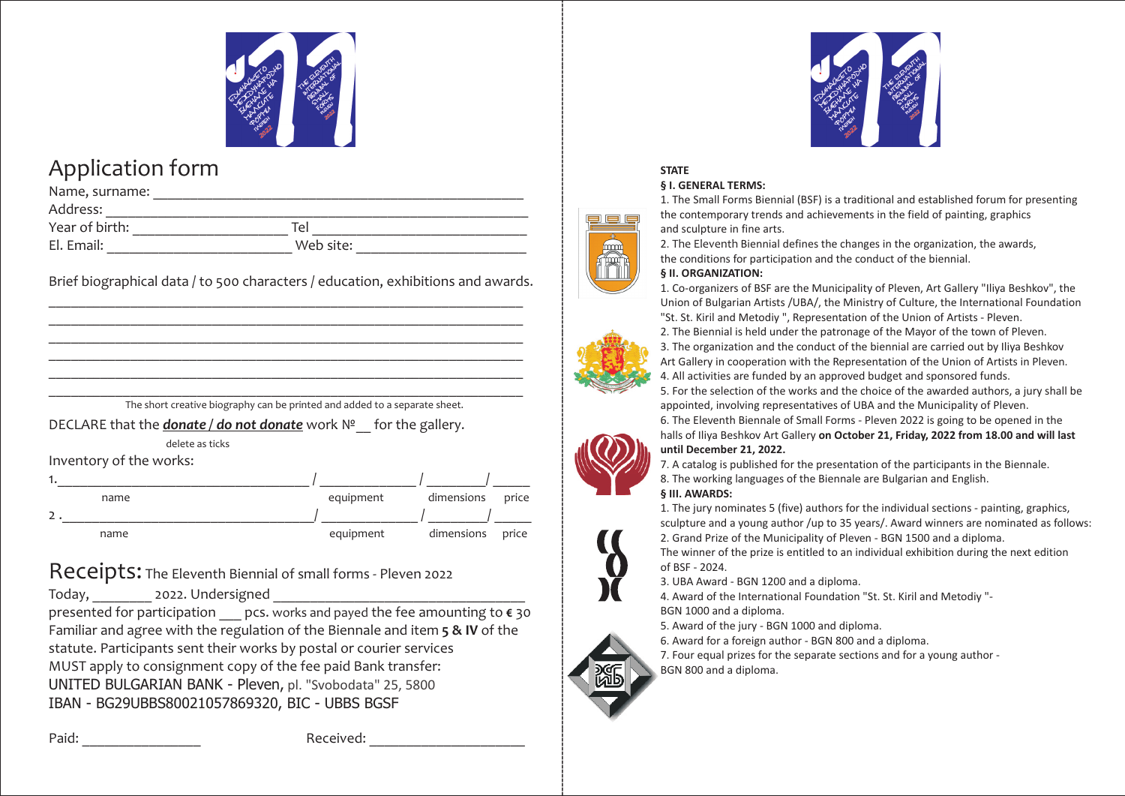

# Application form

| Name, surname: |           |  |  |  |  |  |
|----------------|-----------|--|--|--|--|--|
| Address:       |           |  |  |  |  |  |
| Year of birth: | Tel       |  |  |  |  |  |
| El. Email:     | Web site: |  |  |  |  |  |

Brief biographical data / to 500 characters / education, exhibitions and awards. \_\_\_\_\_\_\_\_\_\_\_\_\_\_\_\_\_\_\_\_\_\_\_\_\_\_\_\_\_\_\_\_\_\_\_\_\_\_\_\_\_\_\_\_\_\_\_\_\_\_\_\_\_\_\_\_\_\_\_\_\_\_\_\_

\_\_\_\_\_\_\_\_\_\_\_\_\_\_\_\_\_\_\_\_\_\_\_\_\_\_\_\_\_\_\_\_\_\_\_\_\_\_\_\_\_\_\_\_\_\_\_\_\_\_\_\_\_\_\_\_\_\_\_\_\_\_\_\_ \_\_\_\_\_\_\_\_\_\_\_\_\_\_\_\_\_\_\_\_\_\_\_\_\_\_\_\_\_\_\_\_\_\_\_\_\_\_\_\_\_\_\_\_\_\_\_\_\_\_\_\_\_\_\_\_\_\_\_\_\_\_\_\_ \_\_\_\_\_\_\_\_\_\_\_\_\_\_\_\_\_\_\_\_\_\_\_\_\_\_\_\_\_\_\_\_\_\_\_\_\_\_\_\_\_\_\_\_\_\_\_\_\_\_\_\_\_\_\_\_\_\_\_\_\_\_\_\_ \_\_\_\_\_\_\_\_\_\_\_\_\_\_\_\_\_\_\_\_\_\_\_\_\_\_\_\_\_\_\_\_\_\_\_\_\_\_\_\_\_\_\_\_\_\_\_\_\_\_\_\_\_\_\_\_\_\_\_\_\_\_\_\_

|  |  |  | The short creative biography can be printed and added to a separate sheet. |  |  |
|--|--|--|----------------------------------------------------------------------------|--|--|
|  |  |  |                                                                            |  |  |

DECLARE that the *donate / do not donate* work  $N^2$  for the gallery.

delete as ticks

Inventory of the works:

| name | equipment | dimensions price |  |
|------|-----------|------------------|--|
|      |           |                  |  |
| name | equipment | dimensions price |  |

## Receipts: The Eleventh Biennial of small forms - Pleven 2022

Today, 2022. Undersigned

presented for participation \_\_\_ pcs. works and payed the fee amounting to **€** 30 Familiar and agree with the regulation of the Biennale and item **5 & IV** of the statute. Participants sent their works by postal or courier services MUST apply to consignment copy of the fee paid Bank transfer: UNITED BULGARIAN BANK - Pleven, pl. "Svobodata" 25, 5800 IBAN - BG29UBBS80021057869320, BIC - UBBS BGSF



## **STATE**

### **§ ². GENERAL TERMS:**

1. The Small Forms Biennial (BSF) is a traditional and established forum for presenting the contemporary trends and achievements in the field of painting, graphics and sculpture in fine arts.

2. The Eleventh Biennial defines the changes in the organization, the awards, the conditions for participation and the conduct of the biennial.

## **§ II. ORGANIZATION:**

1. Co-organizers of BSF are the Municipality of Pleven, Art Gallery "Iliya Beshkov", the Union of Bulgarian Artists /UBA/, the Ministry of Culture, the International Foundation "St. St. Kiril and Metodiy ", Representation of the Union of Artists - Pleven.

2. The Biennial is held under the patronage of the Mayor of the town of Pleven.

3. The organization and the conduct of the biennial are carried out by Iliya Beshkov Art Gallery in cooperation with the Representation of the Union of Artists in Pleven. 4. All activities are funded by an approved budget and sponsored funds.

5. For the selection of the works and the choice of the awarded authors, a jury shall be appointed, involving representatives of UBA and the Municipality of Pleven.

6. The Eleventh Biennale of Small Forms - Pleven 2022 is going to be opened in the halls of Iliya Beshkov Art Gallery **on October 21, Friday, 2022 from 18.00 and will last until December 21, 2022.**

7. A catalog is published for the presentation of the participants in the Biennale.

## 8. The working languages of the Biennale are Bulgarian and English.

### **§ III. AWARDS:**

-----------------------------------------------------------------------------------------------------------------------------------------------------------------------------------

1. The jury nominates 5 (five) authors for the individual sections - painting, graphics, sculpture and a young author /up to 35 years/. Award winners are nominated as follows: 2. Grand Prize of the Municipality of Pleven - BGN 1500 and a diploma.

The winner of the prize is entitled to an individual exhibition during the next edition of BSF - 2024.

3. UBA Award - BGN 1200 and a diploma.

4. Award of the International Foundation "St. St. Kiril and Metodiy "- BGN 1000 and a diploma.

5. Award of the jury - BGN 1000 and diploma.

6. Award for a foreign author - BGN 800 and a diploma.

7. Four equal prizes for the separate sections and for a young author - BGN 800 and a diploma.



Paid: The Paid: The Paid: Paid: Paid: Paid: Paid: Paid: Paid: Paid: Paid: Paid: Paid: Paid: Paid: Paid: Paid: Paid: Paid: Paid: Paid: Paid: Paid: Paid: Paid: Paid: Paid: Paid: Paid: Paid: Paid: Paid: Paid: Paid: Paid: Paid